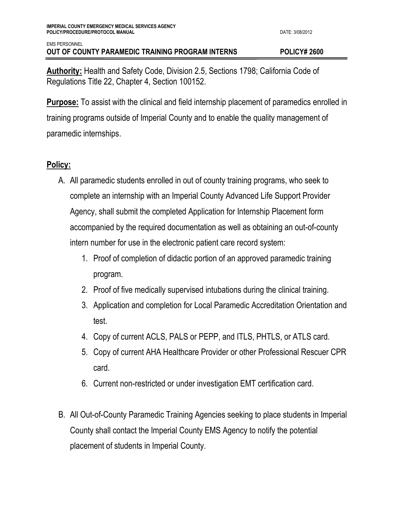**Authority:** Health and Safety Code, Division 2.5, Sections 1798; California Code of Regulations Title 22, Chapter 4, Section 100152.

**Purpose:** To assist with the clinical and field internship placement of paramedics enrolled in training programs outside of Imperial County and to enable the quality management of paramedic internships.

## **Policy:**

- A. All paramedic students enrolled in out of county training programs, who seek to complete an internship with an Imperial County Advanced Life Support Provider Agency, shall submit the completed Application for Internship Placement form accompanied by the required documentation as well as obtaining an out-of-county intern number for use in the electronic patient care record system:
	- 1. Proof of completion of didactic portion of an approved paramedic training program.
	- 2. Proof of five medically supervised intubations during the clinical training.
	- 3. Application and completion for Local Paramedic Accreditation Orientation and test.
	- 4. Copy of current ACLS, PALS or PEPP, and ITLS, PHTLS, or ATLS card.
	- 5. Copy of current AHA Healthcare Provider or other Professional Rescuer CPR card.
	- 6. Current non-restricted or under investigation EMT certification card.
- B. All Out-of-County Paramedic Training Agencies seeking to place students in Imperial County shall contact the Imperial County EMS Agency to notify the potential placement of students in Imperial County.